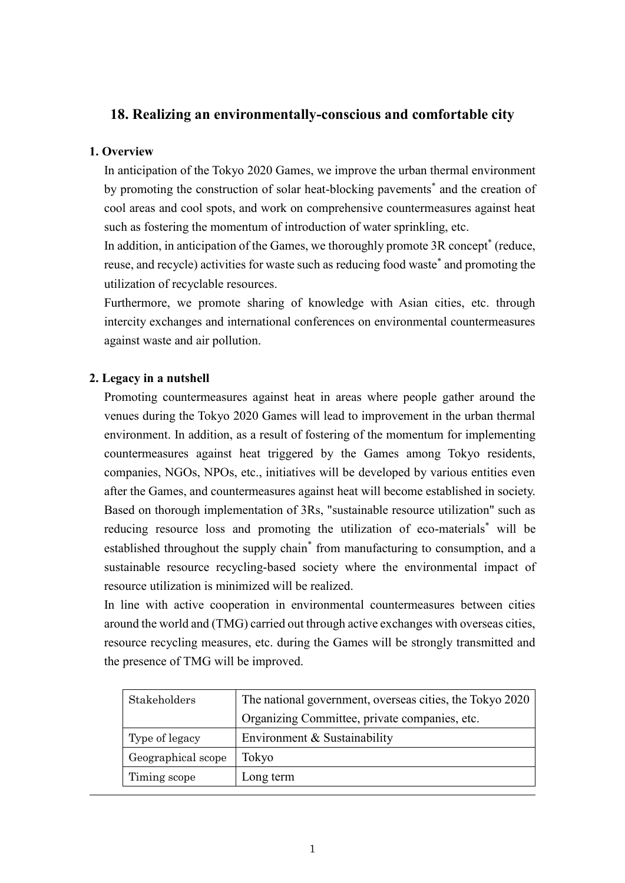## **18. Realizing an environmentally-conscious and comfortable city**

### **1. Overview**

In anticipation of the Tokyo 2020 Games, we improve the urban thermal environment by promoting the construction of solar heat-blocking pavements<sup>\*</sup> and the creation of cool areas and cool spots, and work on comprehensive countermeasures against heat such as fostering the momentum of introduction of water sprinkling, etc.

In addition, in anticipation of the Games, we thoroughly promote 3R concept<sup>\*</sup> (reduce, reuse, and recycle) activities for waste such as reducing food waste\* and promoting the utilization of recyclable resources.

Furthermore, we promote sharing of knowledge with Asian cities, etc. through intercity exchanges and international conferences on environmental countermeasures against waste and air pollution.

## **2. Legacy in a nutshell**

Promoting countermeasures against heat in areas where people gather around the venues during the Tokyo 2020 Games will lead to improvement in the urban thermal environment. In addition, as a result of fostering of the momentum for implementing countermeasures against heat triggered by the Games among Tokyo residents, companies, NGOs, NPOs, etc., initiatives will be developed by various entities even after the Games, and countermeasures against heat will become established in society. Based on thorough implementation of 3Rs, "sustainable resource utilization" such as reducing resource loss and promoting the utilization of eco-materials\* will be established throughout the supply chain<sup>\*</sup> from manufacturing to consumption, and a sustainable resource recycling-based society where the environmental impact of resource utilization is minimized will be realized.

In line with active cooperation in environmental countermeasures between cities around the world and (TMG) carried out through active exchanges with overseas cities, resource recycling measures, etc. during the Games will be strongly transmitted and the presence of TMG will be improved.

| Stakeholders       | The national government, overseas cities, the Tokyo 2020 |  |
|--------------------|----------------------------------------------------------|--|
|                    | Organizing Committee, private companies, etc.            |  |
| Type of legacy     | Environment & Sustainability                             |  |
| Geographical scope | Tokyo                                                    |  |
| Timing scope       | Long term                                                |  |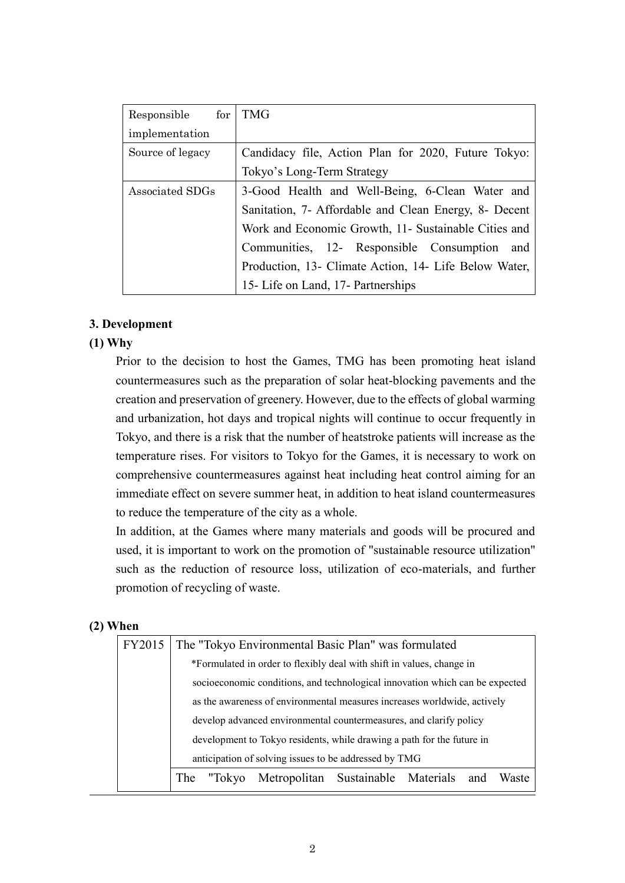| Responsible for  | <b>TMG</b>                                            |
|------------------|-------------------------------------------------------|
| implementation   |                                                       |
| Source of legacy | Candidacy file, Action Plan for 2020, Future Tokyo:   |
|                  | Tokyo's Long-Term Strategy                            |
| Associated SDGs  | 3-Good Health and Well-Being, 6-Clean Water and       |
|                  | Sanitation, 7- Affordable and Clean Energy, 8- Decent |
|                  | Work and Economic Growth, 11- Sustainable Cities and  |
|                  | Communities, 12- Responsible Consumption and          |
|                  | Production, 13- Climate Action, 14- Life Below Water, |
|                  | 15- Life on Land, 17- Partnerships                    |

#### **3. Development**

#### **(1) Why**

Prior to the decision to host the Games, TMG has been promoting heat island countermeasures such as the preparation of solar heat-blocking pavements and the creation and preservation of greenery. However, due to the effects of global warming and urbanization, hot days and tropical nights will continue to occur frequently in Tokyo, and there is a risk that the number of heatstroke patients will increase as the temperature rises. For visitors to Tokyo for the Games, it is necessary to work on comprehensive countermeasures against heat including heat control aiming for an immediate effect on severe summer heat, in addition to heat island countermeasures to reduce the temperature of the city as a whole.

In addition, at the Games where many materials and goods will be procured and used, it is important to work on the promotion of "sustainable resource utilization" such as the reduction of resource loss, utilization of eco-materials, and further promotion of recycling of waste.

#### **(2) When**

| FY2015 | The "Tokyo Environmental Basic Plan" was formulated                          |  |  |  |  |  |
|--------|------------------------------------------------------------------------------|--|--|--|--|--|
|        | *Formulated in order to flexibly deal with shift in values, change in        |  |  |  |  |  |
|        | socioeconomic conditions, and technological innovation which can be expected |  |  |  |  |  |
|        | as the awareness of environmental measures increases worldwide, actively     |  |  |  |  |  |
|        | develop advanced environmental countermeasures, and clarify policy           |  |  |  |  |  |
|        | development to Tokyo residents, while drawing a path for the future in       |  |  |  |  |  |
|        | anticipation of solving issues to be addressed by TMG                        |  |  |  |  |  |
|        | The "Tokyo Metropolitan Sustainable Materials and<br>Waste                   |  |  |  |  |  |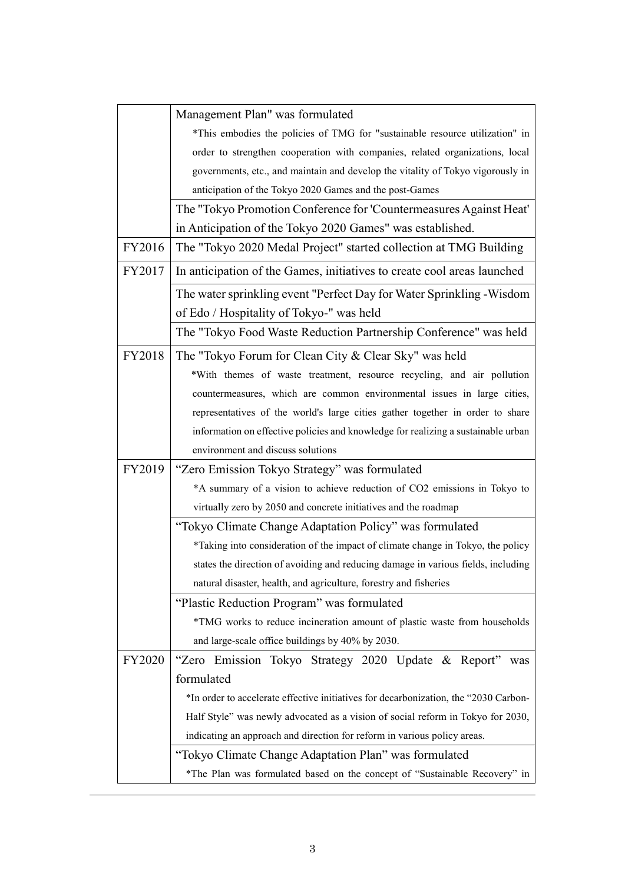|               | Management Plan" was formulated                                                      |
|---------------|--------------------------------------------------------------------------------------|
|               | *This embodies the policies of TMG for "sustainable resource utilization" in         |
|               | order to strengthen cooperation with companies, related organizations, local         |
|               | governments, etc., and maintain and develop the vitality of Tokyo vigorously in      |
|               | anticipation of the Tokyo 2020 Games and the post-Games                              |
|               | The "Tokyo Promotion Conference for 'Countermeasures Against Heat'                   |
|               | in Anticipation of the Tokyo 2020 Games" was established.                            |
| FY2016        | The "Tokyo 2020 Medal Project" started collection at TMG Building                    |
| FY2017        | In anticipation of the Games, initiatives to create cool areas launched              |
|               | The water sprinkling event "Perfect Day for Water Sprinkling - Wisdom                |
|               | of Edo / Hospitality of Tokyo-" was held                                             |
|               | The "Tokyo Food Waste Reduction Partnership Conference" was held                     |
| FY2018        | The "Tokyo Forum for Clean City & Clear Sky" was held                                |
|               | *With themes of waste treatment, resource recycling, and air pollution               |
|               | countermeasures, which are common environmental issues in large cities,              |
|               | representatives of the world's large cities gather together in order to share        |
|               | information on effective policies and knowledge for realizing a sustainable urban    |
|               | environment and discuss solutions                                                    |
| FY2019        | "Zero Emission Tokyo Strategy" was formulated                                        |
|               | *A summary of a vision to achieve reduction of CO2 emissions in Tokyo to             |
|               | virtually zero by 2050 and concrete initiatives and the roadmap                      |
|               | "Tokyo Climate Change Adaptation Policy" was formulated                              |
|               | *Taking into consideration of the impact of climate change in Tokyo, the policy      |
|               | states the direction of avoiding and reducing damage in various fields, including    |
|               | natural disaster, health, and agriculture, forestry and fisheries                    |
|               | "Plastic Reduction Program" was formulated                                           |
|               | *TMG works to reduce incineration amount of plastic waste from households            |
|               | and large-scale office buildings by 40% by 2030.                                     |
| <b>FY2020</b> | "Zero Emission Tokyo Strategy 2020 Update & Report"<br>was                           |
|               | formulated                                                                           |
|               | *In order to accelerate effective initiatives for decarbonization, the "2030 Carbon- |
|               | Half Style" was newly advocated as a vision of social reform in Tokyo for 2030,      |
|               | indicating an approach and direction for reform in various policy areas.             |
|               | "Tokyo Climate Change Adaptation Plan" was formulated                                |
|               | *The Plan was formulated based on the concept of "Sustainable Recovery" in           |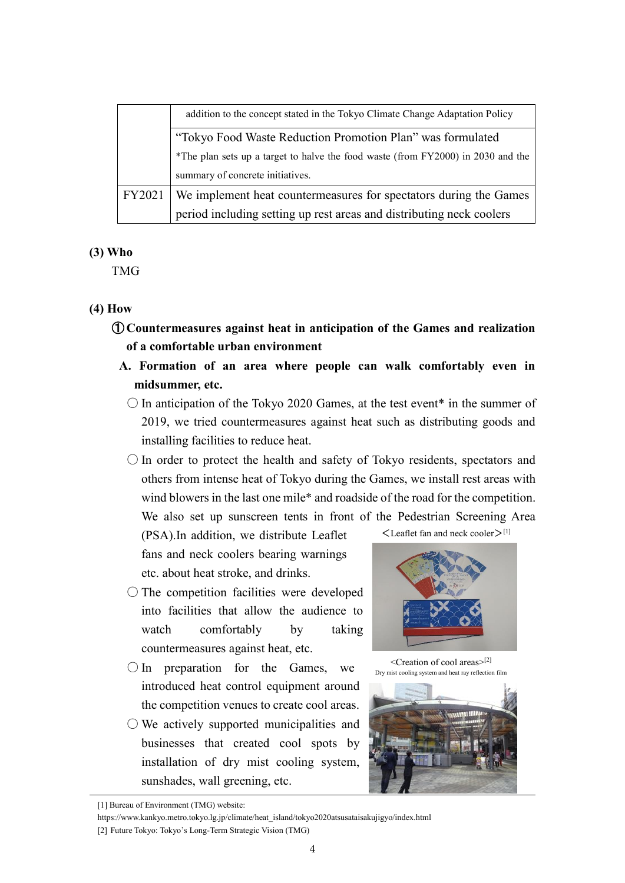|        | addition to the concept stated in the Tokyo Climate Change Adaptation Policy     |
|--------|----------------------------------------------------------------------------------|
|        | "Tokyo Food Waste Reduction Promotion Plan" was formulated                       |
|        | *The plan sets up a target to halve the food waste (from FY2000) in 2030 and the |
|        | summary of concrete initiatives.                                                 |
| FY2021 | We implement heat countermeasures for spectators during the Games                |
|        | period including setting up rest areas and distributing neck coolers             |

#### **(3) Who**

TMG

### **(4) How**

- ① **Countermeasures against heat in anticipation of the Games and realization of a comfortable urban environment**
	- **A. Formation of an area where people can walk comfortably even in midsummer, etc.**
		- $\circ$  In anticipation of the Tokyo 2020 Games, at the test event<sup>\*</sup> in the summer of 2019, we tried countermeasures against heat such as distributing goods and installing facilities to reduce heat.
		- $\bigcirc$  In order to protect the health and safety of Tokyo residents, spectators and others from intense heat of Tokyo during the Games, we install rest areas with wind blowers in the last one mile\* and roadside of the road for the competition. We also set up sunscreen tents in front of the Pedestrian Screening Area

(PSA).In addition, we distribute Leaflet fans and neck coolers bearing warnings etc. about heat stroke, and drinks.

- The competition facilities were developed into facilities that allow the audience to watch comfortably by taking countermeasures against heat, etc.
- $\bigcirc$  In preparation for the Games, we introduced heat control equipment around the competition venues to create cool areas.
- $\bigcirc$  We actively supported municipalities and businesses that created cool spots by installation of dry mist cooling system, sunshades, wall greening, etc.

 $\leq$ Leaflet fan and neck cooler $>$ [1]



<Creation of cool areas> [2] Dry mist cooling system and heat ray reflection film



https://www.kankyo.metro.tokyo.lg.jp/climate/heat\_island/tokyo2020atsusataisakujigyo/index.html

<sup>[1]</sup> Bureau of Environment (TMG) website:

<sup>[2]</sup> Future Tokyo: Tokyo's Long-Term Strategic Vision (TMG)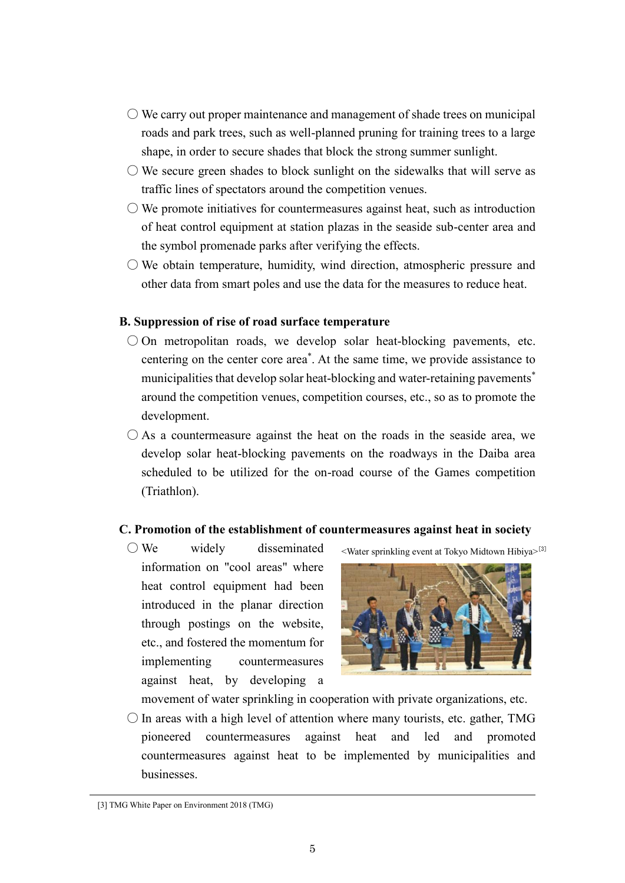- $\circlearrowright$  We carry out proper maintenance and management of shade trees on municipal roads and park trees, such as well-planned pruning for training trees to a large shape, in order to secure shades that block the strong summer sunlight.
- $\circlearrowright$  We secure green shades to block sunlight on the sidewalks that will serve as traffic lines of spectators around the competition venues.
- $\circlearrowright$  We promote initiatives for countermeasures against heat, such as introduction of heat control equipment at station plazas in the seaside sub-center area and the symbol promenade parks after verifying the effects.
- We obtain temperature, humidity, wind direction, atmospheric pressure and other data from smart poles and use the data for the measures to reduce heat.

#### **B. Suppression of rise of road surface temperature**

- $\bigcirc$  On metropolitan roads, we develop solar heat-blocking pavements, etc. centering on the center core area\* . At the same time, we provide assistance to municipalities that develop solar heat-blocking and water-retaining pavements<sup>\*</sup> around the competition venues, competition courses, etc., so as to promote the development.
- $\bigcirc$  As a countermeasure against the heat on the roads in the seaside area, we develop solar heat-blocking pavements on the roadways in the Daiba area scheduled to be utilized for the on-road course of the Games competition (Triathlon).

#### **C. Promotion of the establishment of countermeasures against heat in society**

 $\bigcirc$  We widely disseminated information on "cool areas" where heat control equipment had been introduced in the planar direction through postings on the website, etc., and fostered the momentum for implementing countermeasures against heat, by developing a

<Water sprinkling event at Tokyo Midtown Hibiya>[3]

movement of water sprinkling in cooperation with private organizations, etc.

 $\bigcirc$  In areas with a high level of attention where many tourists, etc. gather, TMG pioneered countermeasures against heat and led and promoted countermeasures against heat to be implemented by municipalities and businesses.

<sup>[3]</sup> TMG White Paper on Environment 2018 (TMG)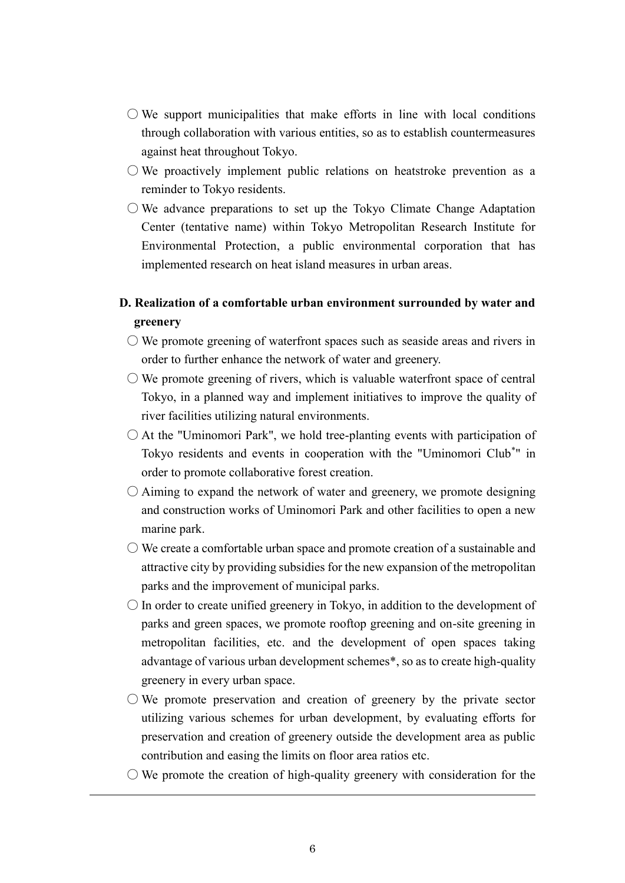- $\circlearrowright$  We support municipalities that make efforts in line with local conditions through collaboration with various entities, so as to establish countermeasures against heat throughout Tokyo.
- $\bigcirc$  We proactively implement public relations on heatstroke prevention as a reminder to Tokyo residents.
- $\circlearrowright$  We advance preparations to set up the Tokyo Climate Change Adaptation Center (tentative name) within Tokyo Metropolitan Research Institute for Environmental Protection, a public environmental corporation that has implemented research on heat island measures in urban areas.

## **D. Realization of a comfortable urban environment surrounded by water and greenery**

- $\circlearrowright$  We promote greening of waterfront spaces such as seaside areas and rivers in order to further enhance the network of water and greenery.
- $\circlearrowright$  We promote greening of rivers, which is valuable waterfront space of central Tokyo, in a planned way and implement initiatives to improve the quality of river facilities utilizing natural environments.
- $\bigcirc$  At the "Uminomori Park", we hold tree-planting events with participation of Tokyo residents and events in cooperation with the "Uminomori Club\* " in order to promote collaborative forest creation.
- $\bigcirc$  Aiming to expand the network of water and greenery, we promote designing and construction works of Uminomori Park and other facilities to open a new marine park.
- $\bigcirc$  We create a comfortable urban space and promote creation of a sustainable and attractive city by providing subsidies for the new expansion of the metropolitan parks and the improvement of municipal parks.
- $\bigcirc$  In order to create unified greenery in Tokyo, in addition to the development of parks and green spaces, we promote rooftop greening and on-site greening in metropolitan facilities, etc. and the development of open spaces taking advantage of various urban development schemes\*, so as to create high-quality greenery in every urban space.
- $\bigcirc$  We promote preservation and creation of greenery by the private sector utilizing various schemes for urban development, by evaluating efforts for preservation and creation of greenery outside the development area as public contribution and easing the limits on floor area ratios etc.
- $\bigcirc$  We promote the creation of high-quality greenery with consideration for the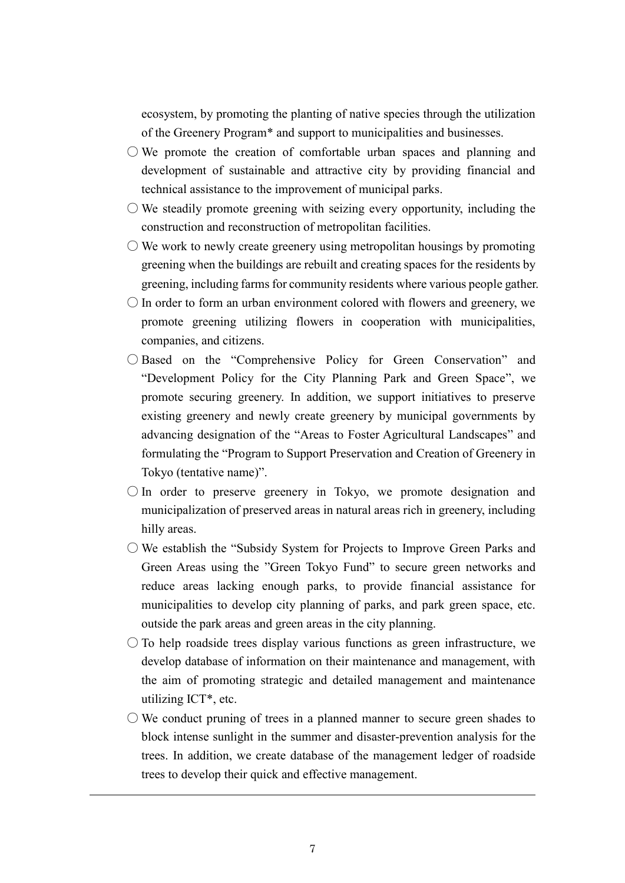ecosystem, by promoting the planting of native species through the utilization of the Greenery Program\* and support to municipalities and businesses.

- $\circlearrowright$  We promote the creation of comfortable urban spaces and planning and development of sustainable and attractive city by providing financial and technical assistance to the improvement of municipal parks.
- $\circlearrowright$  We steadily promote greening with seizing every opportunity, including the construction and reconstruction of metropolitan facilities.
- $\circlearrowright$  We work to newly create greenery using metropolitan housings by promoting greening when the buildings are rebuilt and creating spaces for the residents by greening, including farms for community residents where various people gather.
- $\bigcirc$  In order to form an urban environment colored with flowers and greenery, we promote greening utilizing flowers in cooperation with municipalities, companies, and citizens.
- Based on the "Comprehensive Policy for Green Conservation" and "Development Policy for the City Planning Park and Green Space", we promote securing greenery. In addition, we support initiatives to preserve existing greenery and newly create greenery by municipal governments by advancing designation of the "Areas to Foster Agricultural Landscapes" and formulating the "Program to Support Preservation and Creation of Greenery in Tokyo (tentative name)".
- $\bigcirc$  In order to preserve greenery in Tokyo, we promote designation and municipalization of preserved areas in natural areas rich in greenery, including hilly areas.
- We establish the "Subsidy System for Projects to Improve Green Parks and Green Areas using the "Green Tokyo Fund" to secure green networks and reduce areas lacking enough parks, to provide financial assistance for municipalities to develop city planning of parks, and park green space, etc. outside the park areas and green areas in the city planning.
- $\circ$  To help roadside trees display various functions as green infrastructure, we develop database of information on their maintenance and management, with the aim of promoting strategic and detailed management and maintenance utilizing ICT\*, etc.
- $\bigcirc$  We conduct pruning of trees in a planned manner to secure green shades to block intense sunlight in the summer and disaster-prevention analysis for the trees. In addition, we create database of the management ledger of roadside trees to develop their quick and effective management.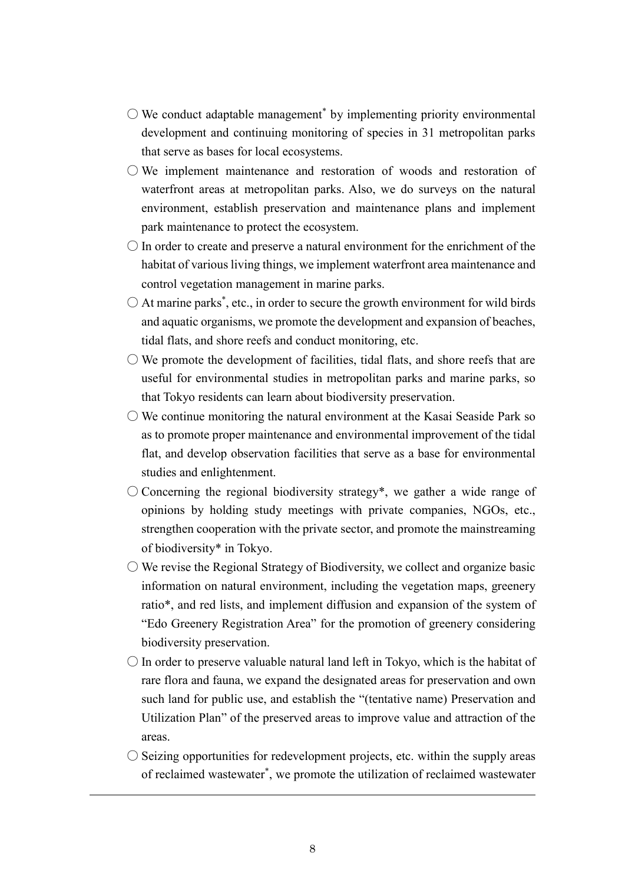- $\bigcirc$  We conduct adaptable management $^*$  by implementing priority environmental development and continuing monitoring of species in 31 metropolitan parks that serve as bases for local ecosystems.
- We implement maintenance and restoration of woods and restoration of waterfront areas at metropolitan parks. Also, we do surveys on the natural environment, establish preservation and maintenance plans and implement park maintenance to protect the ecosystem.
- $\bigcirc$  In order to create and preserve a natural environment for the enrichment of the habitat of various living things, we implement waterfront area maintenance and control vegetation management in marine parks.
- $\bigcirc$  At marine parks<sup>\*</sup>, etc., in order to secure the growth environment for wild birds and aquatic organisms, we promote the development and expansion of beaches, tidal flats, and shore reefs and conduct monitoring, etc.
- $\bigcirc$  We promote the development of facilities, tidal flats, and shore reefs that are useful for environmental studies in metropolitan parks and marine parks, so that Tokyo residents can learn about biodiversity preservation.
- $\circlearrowright$  We continue monitoring the natural environment at the Kasai Seaside Park so as to promote proper maintenance and environmental improvement of the tidal flat, and develop observation facilities that serve as a base for environmental studies and enlightenment.
- Concerning the regional biodiversity strategy\*, we gather a wide range of opinions by holding study meetings with private companies, NGOs, etc., strengthen cooperation with the private sector, and promote the mainstreaming of biodiversity\* in Tokyo.
- $\bigcirc$  We revise the Regional Strategy of Biodiversity, we collect and organize basic information on natural environment, including the vegetation maps, greenery ratio\*, and red lists, and implement diffusion and expansion of the system of "Edo Greenery Registration Area" for the promotion of greenery considering biodiversity preservation.
- $\bigcirc$  In order to preserve valuable natural land left in Tokyo, which is the habitat of rare flora and fauna, we expand the designated areas for preservation and own such land for public use, and establish the "(tentative name) Preservation and Utilization Plan" of the preserved areas to improve value and attraction of the areas.
- $\circ$  Seizing opportunities for redevelopment projects, etc. within the supply areas of reclaimed wastewater\* , we promote the utilization of reclaimed wastewater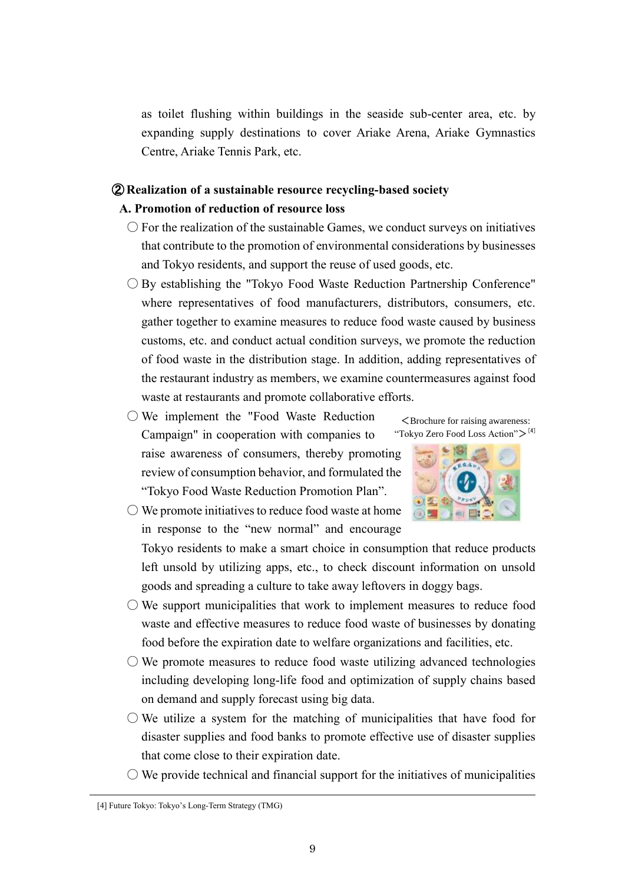as toilet flushing within buildings in the seaside sub-center area, etc. by expanding supply destinations to cover Ariake Arena, Ariake Gymnastics Centre, Ariake Tennis Park, etc.

## ② **Realization of a sustainable resource recycling-based society A. Promotion of reduction of resource loss**

- $\bigcirc$  For the realization of the sustainable Games, we conduct surveys on initiatives that contribute to the promotion of environmental considerations by businesses and Tokyo residents, and support the reuse of used goods, etc.
- $\bigcirc$  By establishing the "Tokyo Food Waste Reduction Partnership Conference" where representatives of food manufacturers, distributors, consumers, etc. gather together to examine measures to reduce food waste caused by business customs, etc. and conduct actual condition surveys, we promote the reduction of food waste in the distribution stage. In addition, adding representatives of the restaurant industry as members, we examine countermeasures against food waste at restaurants and promote collaborative efforts.
- We implement the "Food Waste Reduction Campaign" in cooperation with companies to raise awareness of consumers, thereby promoting review of consumption behavior, and formulated the "Tokyo Food Waste Reduction Promotion Plan".





 $\bigcirc$  We promote initiatives to reduce food waste at home in response to the "new normal" and encourage

Tokyo residents to make a smart choice in consumption that reduce products left unsold by utilizing apps, etc., to check discount information on unsold goods and spreading a culture to take away leftovers in doggy bags.

- $\bigcirc$  We support municipalities that work to implement measures to reduce food waste and effective measures to reduce food waste of businesses by donating food before the expiration date to welfare organizations and facilities, etc.
- $\circlearrowright$  We promote measures to reduce food waste utilizing advanced technologies including developing long-life food and optimization of supply chains based on demand and supply forecast using big data.
- $\bigcirc$  We utilize a system for the matching of municipalities that have food for disaster supplies and food banks to promote effective use of disaster supplies that come close to their expiration date.
- $\circlearrowright$  We provide technical and financial support for the initiatives of municipalities

<sup>[4]</sup> Future Tokyo: Tokyo's Long-Term Strategy (TMG)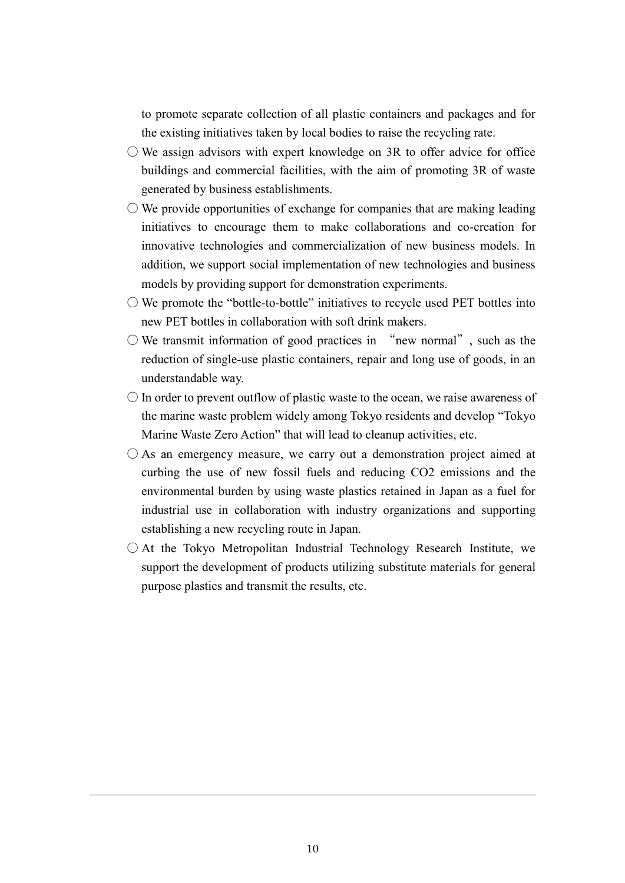to promote separate collection of all plastic containers and packages and for the existing initiatives taken by local bodies to raise the recycling rate.

- $\bigcirc$  We assign advisors with expert knowledge on 3R to offer advice for office buildings and commercial facilities, with the aim of promoting 3R of waste generated by business establishments.
- $\circlearrowright$  We provide opportunities of exchange for companies that are making leading initiatives to encourage them to make collaborations and co-creation for innovative technologies and commercialization of new business models. In addition, we support social implementation of new technologies and business models by providing support for demonstration experiments.
- $\bigcirc$  We promote the "bottle-to-bottle" initiatives to recycle used PET bottles into new PET bottles in collaboration with soft drink makers.
- $\bigcirc$  We transmit information of good practices in "new normal", such as the reduction of single-use plastic containers, repair and long use of goods, in an understandable way.
- $\bigcirc$  In order to prevent outflow of plastic waste to the ocean, we raise awareness of the marine waste problem widely among Tokyo residents and develop "Tokyo Marine Waste Zero Action" that will lead to cleanup activities, etc.
- $\bigcirc$  As an emergency measure, we carry out a demonstration project aimed at curbing the use of new fossil fuels and reducing CO2 emissions and the environmental burden by using waste plastics retained in Japan as a fuel for industrial use in collaboration with industry organizations and supporting establishing a new recycling route in Japan.
- $\bigcirc$  At the Tokyo Metropolitan Industrial Technology Research Institute, we support the development of products utilizing substitute materials for general purpose plastics and transmit the results, etc.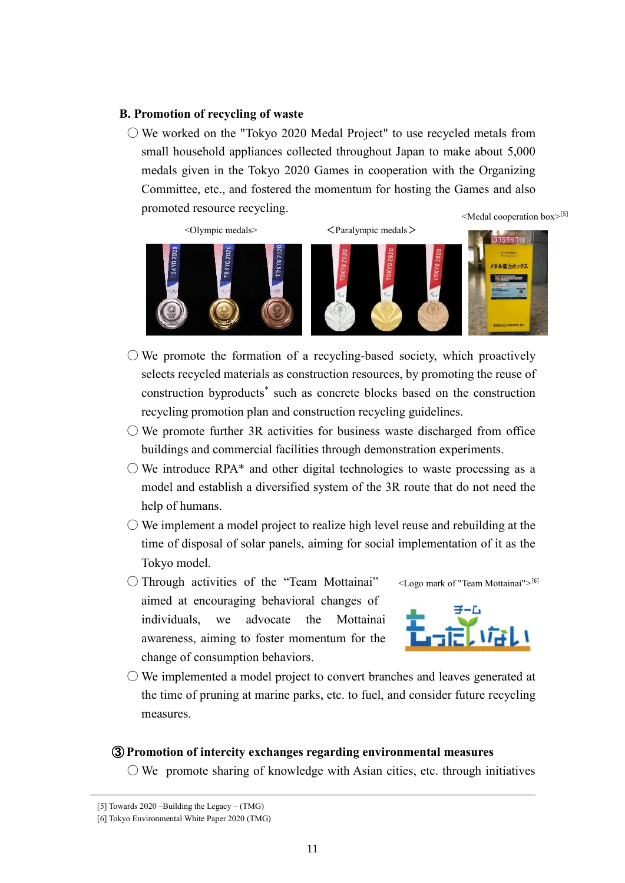#### **B. Promotion of recycling of waste**

 $\circ$  We worked on the "Tokyo 2020 Medal Project" to use recycled metals from small household appliances collected throughout Japan to make about 5,000 medals given in the Tokyo 2020 Games in cooperation with the Organizing Committee, etc., and fostered the momentum for hosting the Games and also promoted resource recycling. <Medal cooperation box>[5]



<Olympic medals> <Paralympic medals> 7594718 メダル協力ポックス

- $\circlearrowright$  We promote the formation of a recycling-based society, which proactively selects recycled materials as construction resources, by promoting the reuse of construction byproducts\* such as concrete blocks based on the construction recycling promotion plan and construction recycling guidelines.
- $\circlearrowright$  We promote further 3R activities for business waste discharged from office buildings and commercial facilities through demonstration experiments.
- $\bigcirc$  We introduce RPA\* and other digital technologies to waste processing as a model and establish a diversified system of the 3R route that do not need the help of humans.
- $\circlearrowright$  We implement a model project to realize high level reuse and rebuilding at the time of disposal of solar panels, aiming for social implementation of it as the Tokyo model.
- Through activities of the "Team Mottainai" aimed at encouraging behavioral changes of individuals, we advocate the Mottainai awareness, aiming to foster momentum for the change of consumption behaviors.





 $\bigcirc$  We implemented a model project to convert branches and leaves generated at the time of pruning at marine parks, etc. to fuel, and consider future recycling measures.

#### ③ **Promotion of intercity exchanges regarding environmental measures**

 $\bigcirc$  We promote sharing of knowledge with Asian cities, etc. through initiatives

<sup>[5]</sup> Towards 2020 –Building the Legacy – (TMG)

<sup>[6]</sup> Tokyo Environmental White Paper 2020 (TMG)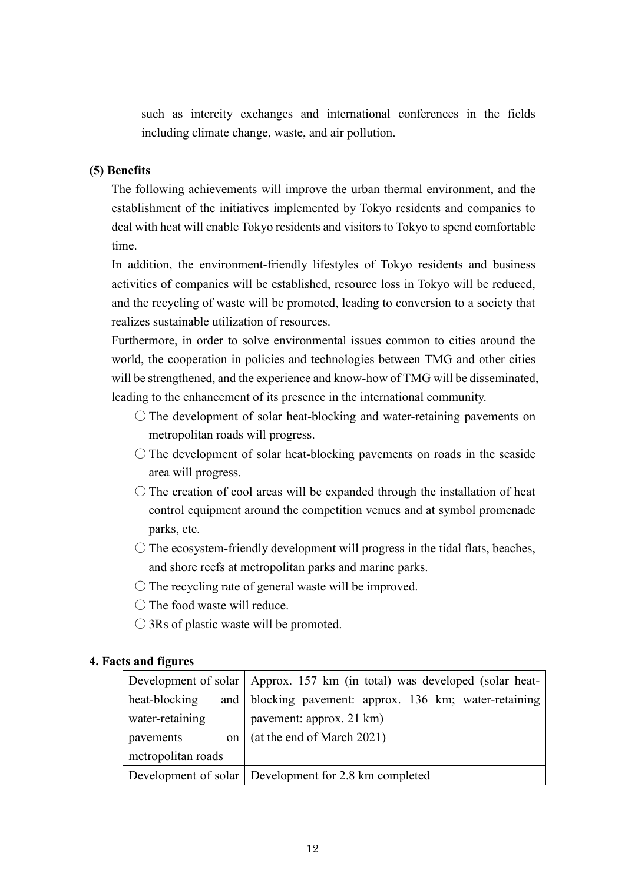such as intercity exchanges and international conferences in the fields including climate change, waste, and air pollution.

## **(5) Benefits**

The following achievements will improve the urban thermal environment, and the establishment of the initiatives implemented by Tokyo residents and companies to deal with heat will enable Tokyo residents and visitors to Tokyo to spend comfortable time.

In addition, the environment-friendly lifestyles of Tokyo residents and business activities of companies will be established, resource loss in Tokyo will be reduced, and the recycling of waste will be promoted, leading to conversion to a society that realizes sustainable utilization of resources.

Furthermore, in order to solve environmental issues common to cities around the world, the cooperation in policies and technologies between TMG and other cities will be strengthened, and the experience and know-how of TMG will be disseminated, leading to the enhancement of its presence in the international community.

- $\bigcirc$  The development of solar heat-blocking and water-retaining pavements on metropolitan roads will progress.
- $\bigcirc$  The development of solar heat-blocking pavements on roads in the seaside area will progress.
- $\bigcirc$  The creation of cool areas will be expanded through the installation of heat control equipment around the competition venues and at symbol promenade parks, etc.
- $\bigcirc$  The ecosystem-friendly development will progress in the tidal flats, beaches, and shore reefs at metropolitan parks and marine parks.
- $\bigcirc$  The recycling rate of general waste will be improved.
- The food waste will reduce.
- 3Rs of plastic waste will be promoted.

## **4. Facts and figures**

|                    | Development of solar   Approx. 157 km (in total) was developed (solar heat- |  |  |  |  |
|--------------------|-----------------------------------------------------------------------------|--|--|--|--|
| heat-blocking      | and blocking pavement: approx. 136 km; water-retaining                      |  |  |  |  |
| water-retaining    | pavement: approx. 21 km)                                                    |  |  |  |  |
| pavements<br>on    | (at the end of March 2021)                                                  |  |  |  |  |
| metropolitan roads |                                                                             |  |  |  |  |
|                    | Development of solar Development for 2.8 km completed                       |  |  |  |  |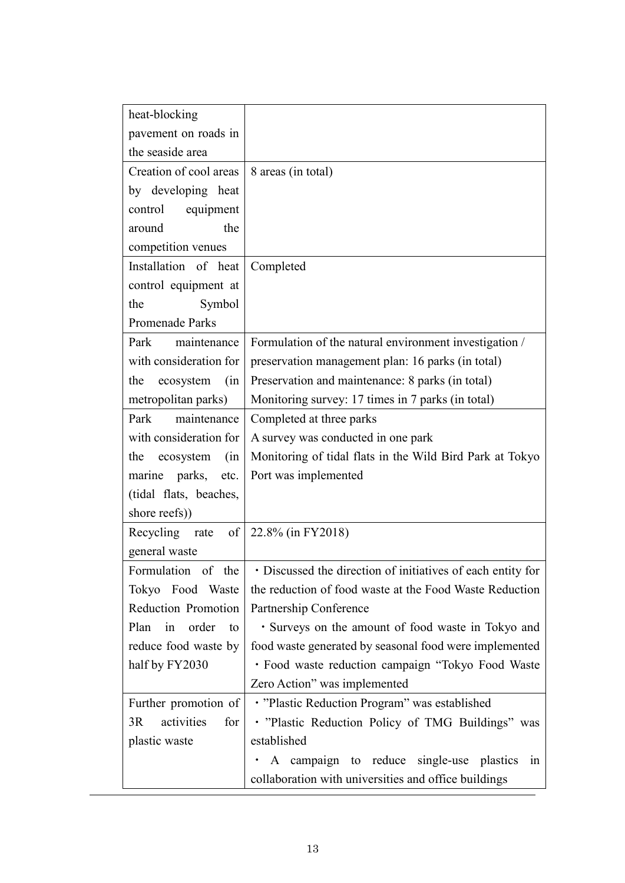| heat-blocking             |                                                             |
|---------------------------|-------------------------------------------------------------|
| pavement on roads in      |                                                             |
| the seaside area          |                                                             |
| Creation of cool areas    | 8 areas (in total)                                          |
| by developing heat        |                                                             |
| equipment<br>control      |                                                             |
| the<br>around             |                                                             |
| competition venues        |                                                             |
| Installation of heat      | Completed                                                   |
| control equipment at      |                                                             |
| Symbol<br>the             |                                                             |
| Promenade Parks           |                                                             |
| Park<br>maintenance       | Formulation of the natural environment investigation /      |
| with consideration for    | preservation management plan: 16 parks (in total)           |
| ecosystem<br>the<br>(in   | Preservation and maintenance: 8 parks (in total)            |
| metropolitan parks)       | Monitoring survey: 17 times in 7 parks (in total)           |
| Park<br>maintenance       | Completed at three parks                                    |
| with consideration for    | A survey was conducted in one park                          |
| the<br>(in<br>ecosystem   | Monitoring of tidal flats in the Wild Bird Park at Tokyo    |
| marine parks, etc.        | Port was implemented                                        |
| (tidal flats, beaches,    |                                                             |
| shore reefs))             |                                                             |
| Recycling rate            | of   22.8% (in FY2018)                                      |
| general waste             |                                                             |
| Formulation of the        | · Discussed the direction of initiatives of each entity for |
| Tokyo Food Waste          | the reduction of food waste at the Food Waste Reduction     |
| Reduction Promotion       | Partnership Conference                                      |
| Plan<br>in<br>order<br>to | • Surveys on the amount of food waste in Tokyo and          |
| reduce food waste by      | food waste generated by seasonal food were implemented      |
| half by FY2030            | · Food waste reduction campaign "Tokyo Food Waste           |
|                           | Zero Action" was implemented                                |
| Further promotion of      | · "Plastic Reduction Program" was established               |
| activities<br>3R<br>for   | . "Plastic Reduction Policy of TMG Buildings" was           |
| plastic waste             | established                                                 |
|                           | A campaign to reduce single-use plastics<br>in              |
|                           | collaboration with universities and office buildings        |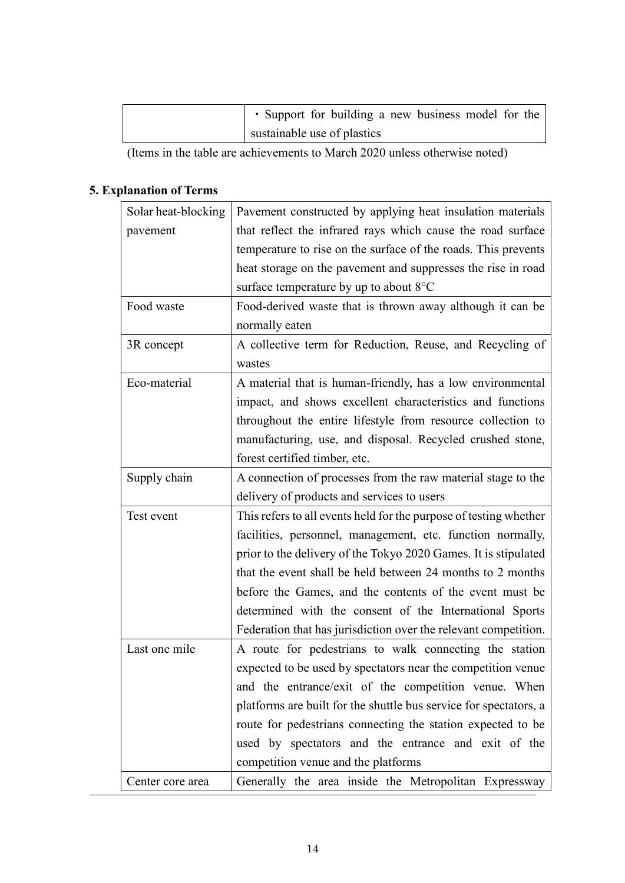| • Support for building a new business model for the |  |  |  |  |
|-----------------------------------------------------|--|--|--|--|
| sustainable use of plastics                         |  |  |  |  |

(Items in the table are achievements to March 2020 unless otherwise noted)

# **5. Explanation of Terms**

| Solar heat-blocking | Pavement constructed by applying heat insulation materials        |
|---------------------|-------------------------------------------------------------------|
| pavement            | that reflect the infrared rays which cause the road surface       |
|                     | temperature to rise on the surface of the roads. This prevents    |
|                     | heat storage on the pavement and suppresses the rise in road      |
|                     | surface temperature by up to about $8^{\circ}$ C                  |
| Food waste          | Food-derived waste that is thrown away although it can be         |
|                     | normally eaten                                                    |
| 3R concept          | A collective term for Reduction, Reuse, and Recycling of          |
|                     | wastes                                                            |
| Eco-material        | A material that is human-friendly, has a low environmental        |
|                     | impact, and shows excellent characteristics and functions         |
|                     | throughout the entire lifestyle from resource collection to       |
|                     | manufacturing, use, and disposal. Recycled crushed stone,         |
|                     | forest certified timber, etc.                                     |
| Supply chain        | A connection of processes from the raw material stage to the      |
|                     | delivery of products and services to users                        |
| Test event          | This refers to all events held for the purpose of testing whether |
|                     | facilities, personnel, management, etc. function normally,        |
|                     | prior to the delivery of the Tokyo 2020 Games. It is stipulated   |
|                     | that the event shall be held between 24 months to 2 months        |
|                     | before the Games, and the contents of the event must be           |
|                     | determined with the consent of the International Sports           |
|                     | Federation that has jurisdiction over the relevant competition.   |
| Last one mile       | A route for pedestrians to walk connecting the station            |
|                     | expected to be used by spectators near the competition venue      |
|                     | and the entrance/exit of the competition venue. When              |
|                     | platforms are built for the shuttle bus service for spectators, a |
|                     | route for pedestrians connecting the station expected to be       |
|                     | used by spectators and the entrance and exit of the               |
|                     | competition venue and the platforms                               |
| Center core area    | Generally the area inside the Metropolitan Expressway             |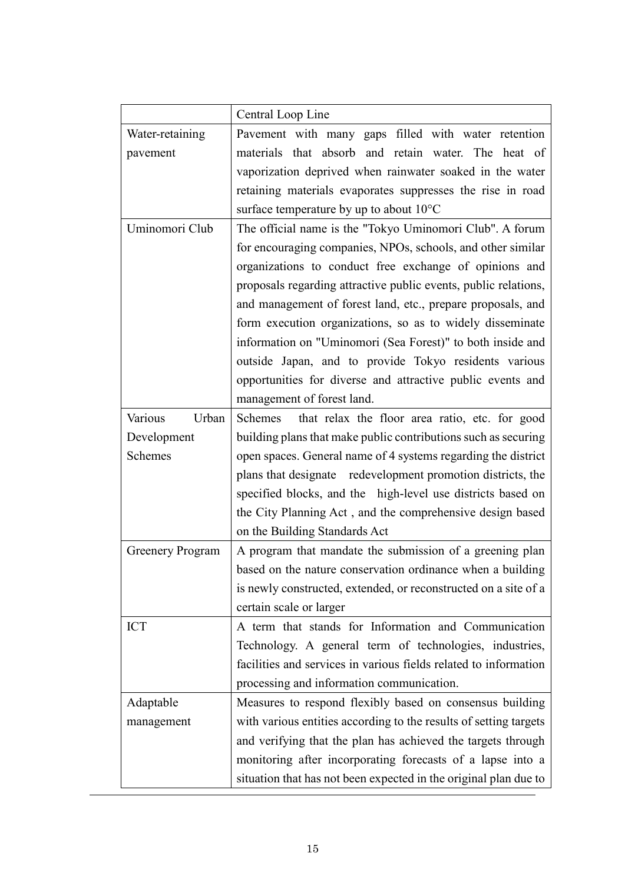|                         | Central Loop Line                                                 |
|-------------------------|-------------------------------------------------------------------|
| Water-retaining         | Pavement with many gaps filled with water retention               |
| pavement                | materials that absorb and retain water. The heat of               |
|                         | vaporization deprived when rainwater soaked in the water          |
|                         | retaining materials evaporates suppresses the rise in road        |
|                         | surface temperature by up to about 10°C                           |
| Uminomori Club          | The official name is the "Tokyo Uminomori Club". A forum          |
|                         | for encouraging companies, NPOs, schools, and other similar       |
|                         | organizations to conduct free exchange of opinions and            |
|                         | proposals regarding attractive public events, public relations,   |
|                         | and management of forest land, etc., prepare proposals, and       |
|                         | form execution organizations, so as to widely disseminate         |
|                         | information on "Uminomori (Sea Forest)" to both inside and        |
|                         | outside Japan, and to provide Tokyo residents various             |
|                         | opportunities for diverse and attractive public events and        |
|                         | management of forest land.                                        |
| Various<br>Urban        | Schemes<br>that relax the floor area ratio, etc. for good         |
| Development             | building plans that make public contributions such as securing    |
| Schemes                 | open spaces. General name of 4 systems regarding the district     |
|                         | plans that designate redevelopment promotion districts, the       |
|                         | specified blocks, and the high-level use districts based on       |
|                         | the City Planning Act, and the comprehensive design based         |
|                         | on the Building Standards Act                                     |
| <b>Greenery Program</b> | A program that mandate the submission of a greening plan          |
|                         | based on the nature conservation ordinance when a building        |
|                         | is newly constructed, extended, or reconstructed on a site of a   |
|                         | certain scale or larger                                           |
| <b>ICT</b>              | A term that stands for Information and Communication              |
|                         | Technology. A general term of technologies, industries,           |
|                         | facilities and services in various fields related to information  |
|                         | processing and information communication.                         |
| Adaptable               | Measures to respond flexibly based on consensus building          |
| management              | with various entities according to the results of setting targets |
|                         | and verifying that the plan has achieved the targets through      |
|                         | monitoring after incorporating forecasts of a lapse into a        |
|                         | situation that has not been expected in the original plan due to  |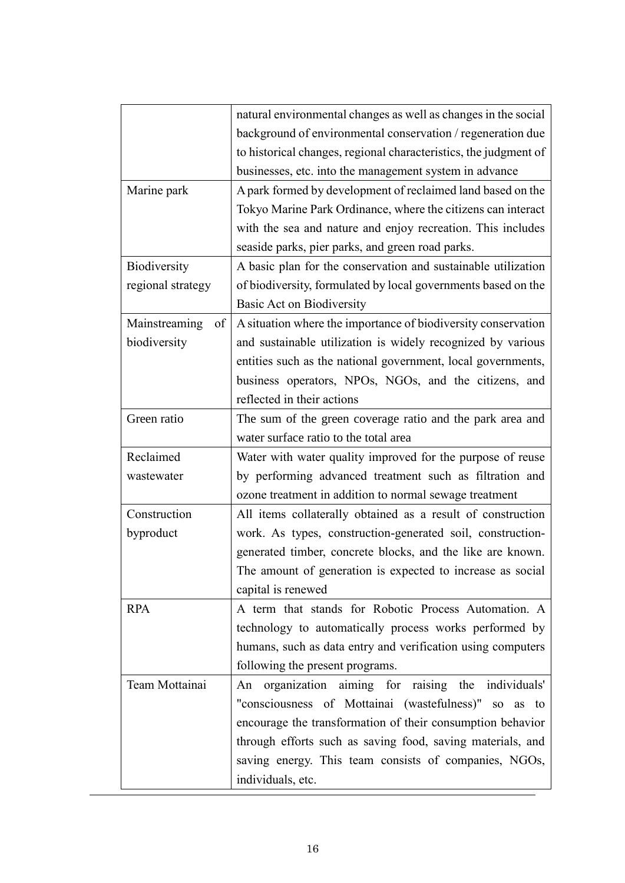|                     | natural environmental changes as well as changes in the social   |
|---------------------|------------------------------------------------------------------|
|                     | background of environmental conservation / regeneration due      |
|                     | to historical changes, regional characteristics, the judgment of |
|                     | businesses, etc. into the management system in advance           |
| Marine park         | A park formed by development of reclaimed land based on the      |
|                     | Tokyo Marine Park Ordinance, where the citizens can interact     |
|                     | with the sea and nature and enjoy recreation. This includes      |
|                     | seaside parks, pier parks, and green road parks.                 |
| Biodiversity        | A basic plan for the conservation and sustainable utilization    |
| regional strategy   | of biodiversity, formulated by local governments based on the    |
|                     | Basic Act on Biodiversity                                        |
| Mainstreaming<br>of | A situation where the importance of biodiversity conservation    |
| biodiversity        | and sustainable utilization is widely recognized by various      |
|                     | entities such as the national government, local governments,     |
|                     | business operators, NPOs, NGOs, and the citizens, and            |
|                     | reflected in their actions                                       |
| Green ratio         | The sum of the green coverage ratio and the park area and        |
|                     | water surface ratio to the total area                            |
| Reclaimed           | Water with water quality improved for the purpose of reuse       |
| wastewater          | by performing advanced treatment such as filtration and          |
|                     | ozone treatment in addition to normal sewage treatment           |
| Construction        | All items collaterally obtained as a result of construction      |
| byproduct           | work. As types, construction-generated soil, construction-       |
|                     | generated timber, concrete blocks, and the like are known.       |
|                     | The amount of generation is expected to increase as social       |
|                     | capital is renewed                                               |
| <b>RPA</b>          | A term that stands for Robotic Process Automation. A             |
|                     | technology to automatically process works performed by           |
|                     | humans, such as data entry and verification using computers      |
|                     | following the present programs.                                  |
| Team Mottainai      | organization aiming for raising the individuals'<br>An           |
|                     | "consciousness of Mottainai (wastefulness)" so as to             |
|                     | encourage the transformation of their consumption behavior       |
|                     | through efforts such as saving food, saving materials, and       |
|                     | saving energy. This team consists of companies, NGOs,            |
|                     | individuals, etc.                                                |